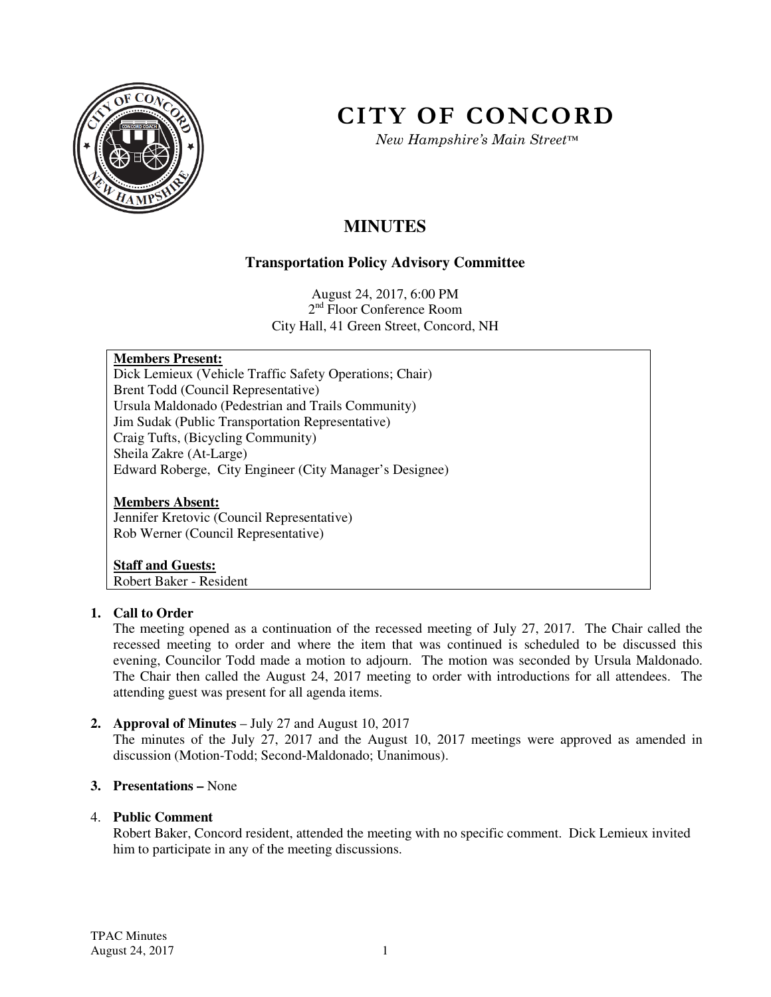

# **CITY OF CONCORD**

*New Hampshire's Main Street™*

# **MINUTES**

# **Transportation Policy Advisory Committee**

August 24, 2017, 6:00 PM 2<sup>nd</sup> Floor Conference Room City Hall, 41 Green Street, Concord, NH

#### **Members Present:**

Dick Lemieux (Vehicle Traffic Safety Operations; Chair) Brent Todd (Council Representative) Ursula Maldonado (Pedestrian and Trails Community) Jim Sudak (Public Transportation Representative) Craig Tufts, (Bicycling Community) Sheila Zakre (At-Large) Edward Roberge, City Engineer (City Manager's Designee)

#### **Members Absent:**

Jennifer Kretovic (Council Representative) Rob Werner (Council Representative)

## **Staff and Guests:**

Robert Baker - Resident

#### **1. Call to Order**

The meeting opened as a continuation of the recessed meeting of July 27, 2017. The Chair called the recessed meeting to order and where the item that was continued is scheduled to be discussed this evening, Councilor Todd made a motion to adjourn. The motion was seconded by Ursula Maldonado. The Chair then called the August 24, 2017 meeting to order with introductions for all attendees. The attending guest was present for all agenda items.

#### **2. Approval of Minutes** – July 27 and August 10, 2017

The minutes of the July 27, 2017 and the August 10, 2017 meetings were approved as amended in discussion (Motion-Todd; Second-Maldonado; Unanimous).

#### **3. Presentations –** None

#### 4. **Public Comment**

Robert Baker, Concord resident, attended the meeting with no specific comment. Dick Lemieux invited him to participate in any of the meeting discussions.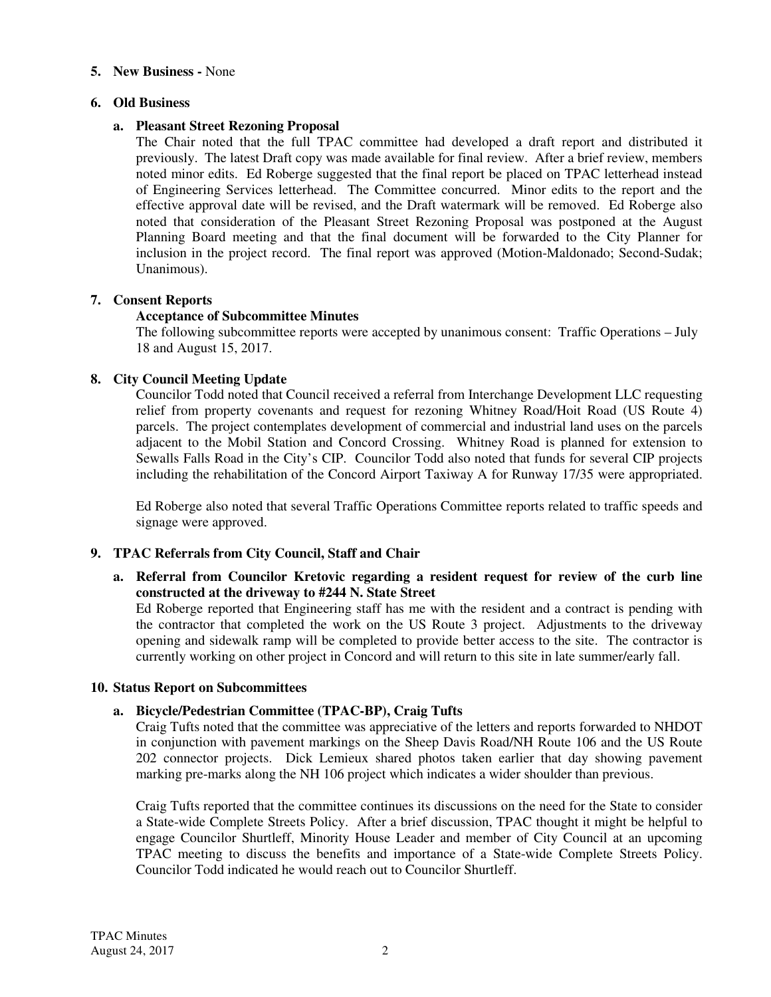#### **5. New Business -** None

#### **6. Old Business**

#### **a. Pleasant Street Rezoning Proposal**

The Chair noted that the full TPAC committee had developed a draft report and distributed it previously. The latest Draft copy was made available for final review. After a brief review, members noted minor edits. Ed Roberge suggested that the final report be placed on TPAC letterhead instead of Engineering Services letterhead. The Committee concurred. Minor edits to the report and the effective approval date will be revised, and the Draft watermark will be removed. Ed Roberge also noted that consideration of the Pleasant Street Rezoning Proposal was postponed at the August Planning Board meeting and that the final document will be forwarded to the City Planner for inclusion in the project record. The final report was approved (Motion-Maldonado; Second-Sudak; Unanimous).

#### **7. Consent Reports**

#### **Acceptance of Subcommittee Minutes**

The following subcommittee reports were accepted by unanimous consent: Traffic Operations – July 18 and August 15, 2017.

#### **8. City Council Meeting Update**

Councilor Todd noted that Council received a referral from Interchange Development LLC requesting relief from property covenants and request for rezoning Whitney Road/Hoit Road (US Route 4) parcels. The project contemplates development of commercial and industrial land uses on the parcels adjacent to the Mobil Station and Concord Crossing. Whitney Road is planned for extension to Sewalls Falls Road in the City's CIP. Councilor Todd also noted that funds for several CIP projects including the rehabilitation of the Concord Airport Taxiway A for Runway 17/35 were appropriated.

Ed Roberge also noted that several Traffic Operations Committee reports related to traffic speeds and signage were approved.

#### **9. TPAC Referrals from City Council, Staff and Chair**

**a. Referral from Councilor Kretovic regarding a resident request for review of the curb line constructed at the driveway to #244 N. State Street**

Ed Roberge reported that Engineering staff has me with the resident and a contract is pending with the contractor that completed the work on the US Route 3 project. Adjustments to the driveway opening and sidewalk ramp will be completed to provide better access to the site. The contractor is currently working on other project in Concord and will return to this site in late summer/early fall.

#### **10. Status Report on Subcommittees**

#### **a. Bicycle/Pedestrian Committee (TPAC-BP), Craig Tufts**

Craig Tufts noted that the committee was appreciative of the letters and reports forwarded to NHDOT in conjunction with pavement markings on the Sheep Davis Road/NH Route 106 and the US Route 202 connector projects. Dick Lemieux shared photos taken earlier that day showing pavement marking pre-marks along the NH 106 project which indicates a wider shoulder than previous.

Craig Tufts reported that the committee continues its discussions on the need for the State to consider a State-wide Complete Streets Policy. After a brief discussion, TPAC thought it might be helpful to engage Councilor Shurtleff, Minority House Leader and member of City Council at an upcoming TPAC meeting to discuss the benefits and importance of a State-wide Complete Streets Policy. Councilor Todd indicated he would reach out to Councilor Shurtleff.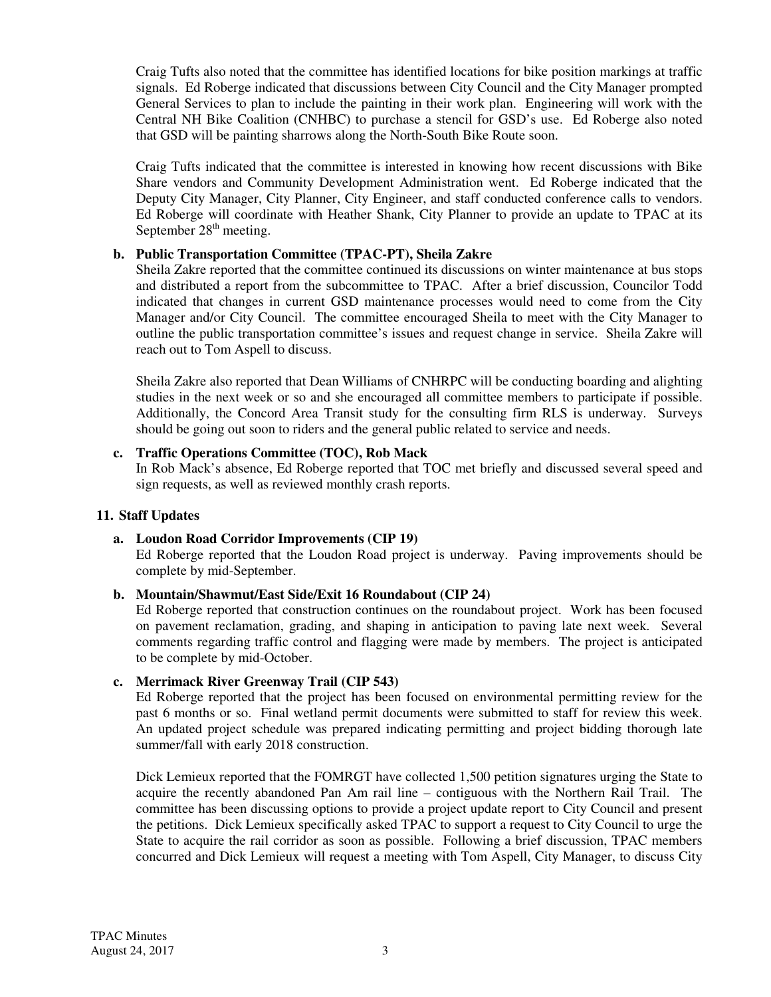Craig Tufts also noted that the committee has identified locations for bike position markings at traffic signals. Ed Roberge indicated that discussions between City Council and the City Manager prompted General Services to plan to include the painting in their work plan. Engineering will work with the Central NH Bike Coalition (CNHBC) to purchase a stencil for GSD's use. Ed Roberge also noted that GSD will be painting sharrows along the North-South Bike Route soon.

Craig Tufts indicated that the committee is interested in knowing how recent discussions with Bike Share vendors and Community Development Administration went. Ed Roberge indicated that the Deputy City Manager, City Planner, City Engineer, and staff conducted conference calls to vendors. Ed Roberge will coordinate with Heather Shank, City Planner to provide an update to TPAC at its September  $28<sup>th</sup>$  meeting.

### **b. Public Transportation Committee (TPAC-PT), Sheila Zakre**

Sheila Zakre reported that the committee continued its discussions on winter maintenance at bus stops and distributed a report from the subcommittee to TPAC. After a brief discussion, Councilor Todd indicated that changes in current GSD maintenance processes would need to come from the City Manager and/or City Council. The committee encouraged Sheila to meet with the City Manager to outline the public transportation committee's issues and request change in service. Sheila Zakre will reach out to Tom Aspell to discuss.

Sheila Zakre also reported that Dean Williams of CNHRPC will be conducting boarding and alighting studies in the next week or so and she encouraged all committee members to participate if possible. Additionally, the Concord Area Transit study for the consulting firm RLS is underway. Surveys should be going out soon to riders and the general public related to service and needs.

#### **c. Traffic Operations Committee (TOC), Rob Mack**

In Rob Mack's absence, Ed Roberge reported that TOC met briefly and discussed several speed and sign requests, as well as reviewed monthly crash reports.

#### **11. Staff Updates**

#### **a. Loudon Road Corridor Improvements (CIP 19)**  Ed Roberge reported that the Loudon Road project is underway. Paving improvements should be

complete by mid-September.

#### **b. Mountain/Shawmut/East Side/Exit 16 Roundabout (CIP 24)**

Ed Roberge reported that construction continues on the roundabout project. Work has been focused on pavement reclamation, grading, and shaping in anticipation to paving late next week. Several comments regarding traffic control and flagging were made by members. The project is anticipated to be complete by mid-October.

#### **c. Merrimack River Greenway Trail (CIP 543)**

Ed Roberge reported that the project has been focused on environmental permitting review for the past 6 months or so. Final wetland permit documents were submitted to staff for review this week. An updated project schedule was prepared indicating permitting and project bidding thorough late summer/fall with early 2018 construction.

Dick Lemieux reported that the FOMRGT have collected 1,500 petition signatures urging the State to acquire the recently abandoned Pan Am rail line – contiguous with the Northern Rail Trail. The committee has been discussing options to provide a project update report to City Council and present the petitions. Dick Lemieux specifically asked TPAC to support a request to City Council to urge the State to acquire the rail corridor as soon as possible. Following a brief discussion, TPAC members concurred and Dick Lemieux will request a meeting with Tom Aspell, City Manager, to discuss City